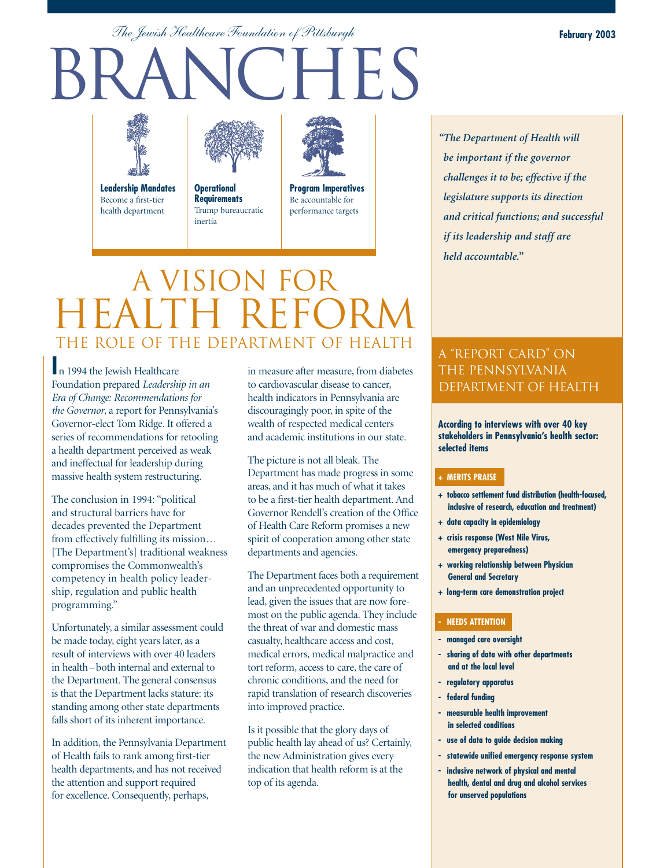*The Jewish Healthcare Foundation of Pittsburgh*

# BRANCHES





inertia health department

**Operational Requirements** Trump bureaucratic



**Program Imperatives** Be accountable for performance targets

# A VISION FOR HEALTH REFORM THE ROLE OF THE DEPARTMENT OF HEALTH

**I**n 1994 the Jewish Healthcare Foundation prepared *Leadership in an Era of Change: Recommendations for the Governor*, a report for Pennsylvania's Governor-elect Tom Ridge. It offered a series of recommendations for retooling a health department perceived as weak and ineffectual for leadership during massive health system restructuring.

The conclusion in 1994: "political and structural barriers have for decades prevented the Department from effectively fulfilling its mission… [The Department's] traditional weakness compromises the Commonwealth's competency in health policy leadership, regulation and public health programming."

Unfortunately, a similar assessment could be made today, eight years later, as a result of interviews with over 40 leaders in health – both internal and external to the Department. The general consensus is that the Department lacks stature: its standing among other state departments falls short of its inherent importance.

In addition, the Pennsylvania Department of Health fails to rank among first-tier health departments, and has not received the attention and support required for excellence. Consequently, perhaps,

in measure after measure, from diabetes to cardiovascular disease to cancer, health indicators in Pennsylvania are discouragingly poor, in spite of the wealth of respected medical centers and academic institutions in our state.

The picture is not all bleak. The Department has made progress in some areas, and it has much of what it takes to be a first-tier health department. And Governor Rendell's creation of the Office of Health Care Reform promises a new spirit of cooperation among other state departments and agencies.

The Department faces both a requirement and an unprecedented opportunity to lead, given the issues that are now foremost on the public agenda. They include the threat of war and domestic mass casualty, healthcare access and cost, medical errors, medical malpractice and tort reform, access to care, the care of chronic conditions, and the need for rapid translation of research discoveries into improved practice.

Is it possible that the glory days of public health lay ahead of us? Certainly, the new Administration gives every indication that health reform is at the top of its agenda.

# *and critical functions; and successful if its leadership and staff are held accountable."*

*"The Department of Health will be important if the governor challenges it to be; effective if the legislature supports its direction* 

## A "REPORT CARD" ON THE PENNSYLVANIA DEPARTMENT OF HEALTH

**According to interviews with over 40 key stakeholders in Pennsylvania's health sector: selected items**

#### **+ MERITS PRAISE**

- **+ tobacco settlement fund distribution (health-focused, inclusive of research, education and treatment)**
- **+ data capacity in epidemiology**
- **+ crisis response (West Nile Virus, emergency preparedness)**
- **+ working relationship between Physician General and Secretary**
- **+ long-term care demonstration project**

#### **- NEEDS ATTENTION**

- **managed care oversight**
- **sharing of data with other departments and at the local level**
- **regulatory apparatus**
- **federal funding**
- **measurable health improvement in selected conditions**
- **use of data to guide decision making**
- **statewide unified emergency response system**
- **inclusive network of physical and mental health, dental and drug and alcohol services for unserved populations**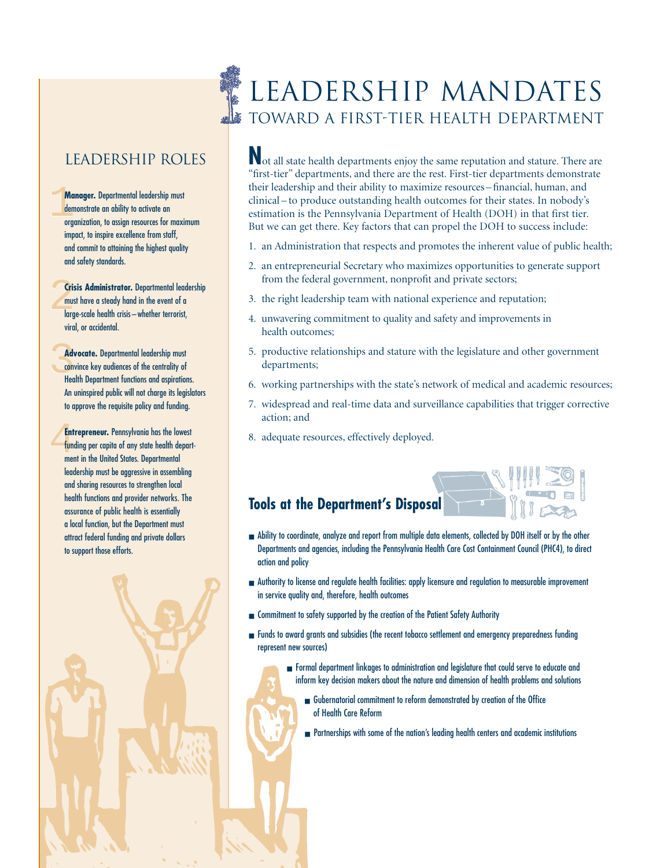## Leadership Roles

Ma<br>den<br>org Ma<br>dem<br>orge **Manager.** Departmental leadership must demonstrate an ability to activate an organization, to assign resources for maximum impact, to inspire excellence from staff, and commit to attaining the highest quality and safety standards.

**Crisis Administrator.** Departmental leadership<br>must have a steady hand in the event of a<br>large-scale health crisis—whether terrorist, must have a steady hand in the event of a large-scale health crisis – whether terrorist, viral, or accidental.

Adv<br>Com<br>Hea **Advocate.** Departmental leadership must convince key audiences of the centrality of Health Department functions and aspirations. An uninspired public will not charge its legislators to approve the requisite policy and funding.

Ent<br>fund<br>mer **Entrepreneur.** Pennsylvania has the lowest funding per capita of any state health department in the United States. Departmental leadership must be aggressive in assembling and sharing resources to strengthen local health functions and provider networks. The assurance of public health is essentially a local function, but the Department must attract federal funding and private dollars to support those efforts.



# LEADERSHIP MANDATES TOWARD A FIRST-TIER HEALTH DEPARTMENT

**N**ot all state health departments enjoy the same reputation and stature. There are "first-tier" departments, and there are the rest. First-tier departments demonstrate their leadership and their ability to maximize resources – financial, human, and clinical – to produce outstanding health outcomes for their states. In nobody's estimation is the Pennsylvania Department of Health (DOH) in that first tier. But we can get there. Key factors that can propel the DOH to success include:

- 1. an Administration that respects and promotes the inherent value of public health;
- 2. an entrepreneurial Secretary who maximizes opportunities to generate support from the federal government, nonprofit and private sectors;
- 3. the right leadership team with national experience and reputation;
- 4. unwavering commitment to quality and safety and improvements in health outcomes;
- 5. productive relationships and stature with the legislature and other government departments;
- 6. working partnerships with the state's network of medical and academic resources;
- 7. widespread and real-time data and surveillance capabilities that trigger corrective action; and
- 8. adequate resources, effectively deployed.

## **Tools at the Department's Disposal**

- Ability to coordinate, analyze and report from multiple data elements, collected by DOH itself or by the other Departments and agencies, including the Pennsylvania Health Care Cost Containment Council (PHC4), to direct action and policy
- Authority to license and regulate health facilities: apply licensure and regulation to measurable improvement in service quality and, therefore, health outcomes
- Commitment to safety supported by the creation of the Patient Safety Authority
- Funds to award grants and subsidies (the recent tobacco settlement and emergency preparedness funding represent new sources)
	- Formal department linkages to administration and legislature that could serve to educate and inform key decision makers about the nature and dimension of health problems and solutions
		- Gubernatorial commitment to reform demonstrated by creation of the Office of Health Care Reform
		- Partnerships with some of the nation's leading health centers and academic institutions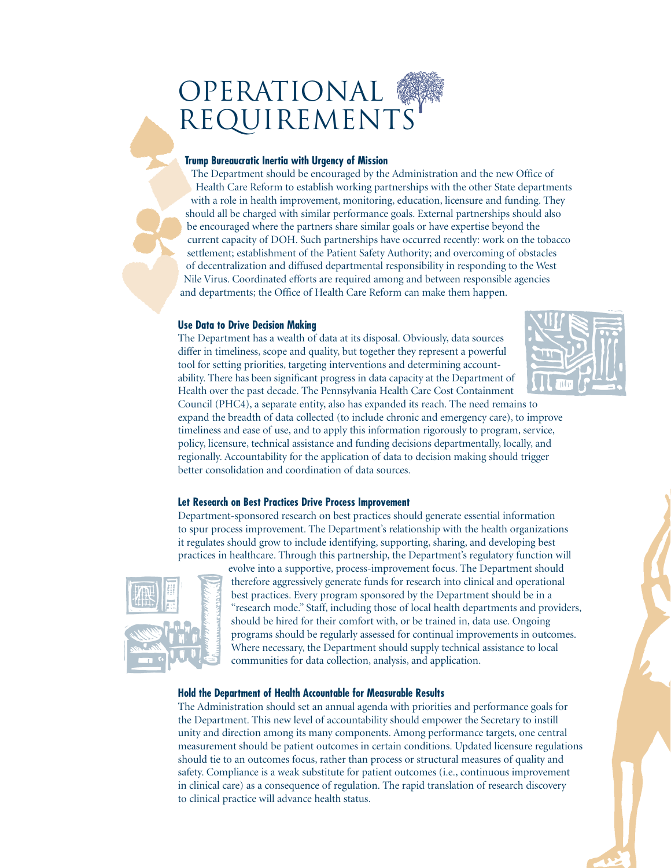# OPERATIONAL REQUIREMENTS

#### **Trump Bureaucratic Inertia with Urgency of Mission**

The Department should be encouraged by the Administration and the new Office of Health Care Reform to establish working partnerships with the other State departments with a role in health improvement, monitoring, education, licensure and funding. They should all be charged with similar performance goals. External partnerships should also be encouraged where the partners share similar goals or have expertise beyond the current capacity of DOH. Such partnerships have occurred recently: work on the tobacco settlement; establishment of the Patient Safety Authority; and overcoming of obstacles of decentralization and diffused departmental responsibility in responding to the West Nile Virus. Coordinated efforts are required among and between responsible agencies and departments; the Office of Health Care Reform can make them happen.

#### **Use Data to Drive Decision Making**

The Department has a wealth of data at its disposal. Obviously, data sources differ in timeliness, scope and quality, but together they represent a powerful tool for setting priorities, targeting interventions and determining accountability. There has been significant progress in data capacity at the Department of Health over the past decade. The Pennsylvania Health Care Cost Containment



Council (PHC4), a separate entity, also has expanded its reach. The need remains to expand the breadth of data collected (to include chronic and emergency care), to improve timeliness and ease of use, and to apply this information rigorously to program, service, policy, licensure, technical assistance and funding decisions departmentally, locally, and regionally. Accountability for the application of data to decision making should trigger better consolidation and coordination of data sources.

#### **Let Research on Best Practices Drive Process Improvement**

Department-sponsored research on best practices should generate essential information to spur process improvement. The Department's relationship with the health organizations it regulates should grow to include identifying, supporting, sharing, and developing best practices in healthcare. Through this partnership, the Department's regulatory function will



evolve into a supportive, process-improvement focus. The Department should therefore aggressively generate funds for research into clinical and operational best practices. Every program sponsored by the Department should be in a "research mode." Staff, including those of local health departments and providers, should be hired for their comfort with, or be trained in, data use. Ongoing programs should be regularly assessed for continual improvements in outcomes. Where necessary, the Department should supply technical assistance to local communities for data collection, analysis, and application.

#### **Hold the Department of Health Accountable for Measurable Results**

The Administration should set an annual agenda with priorities and performance goals for the Department. This new level of accountability should empower the Secretary to instill unity and direction among its many components. Among performance targets, one central measurement should be patient outcomes in certain conditions. Updated licensure regulations should tie to an outcomes focus, rather than process or structural measures of quality and safety. Compliance is a weak substitute for patient outcomes (i.e., continuous improvement in clinical care) as a consequence of regulation. The rapid translation of research discovery to clinical practice will advance health status.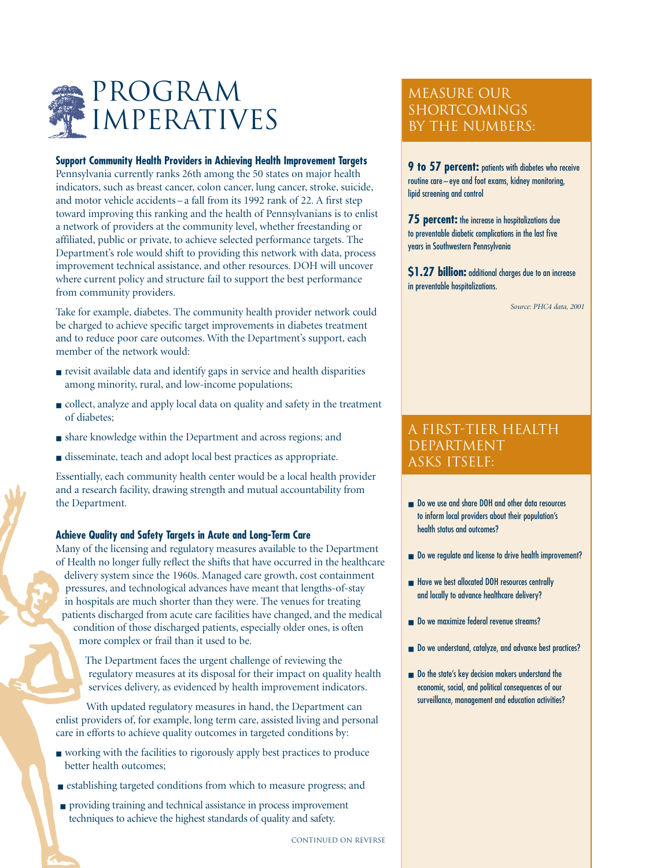

#### **Support Community Health Providers in Achieving Health Improvement Targets**

Pennsylvania currently ranks 26th among the 50 states on major health indicators, such as breast cancer, colon cancer, lung cancer, stroke, suicide, and motor vehicle accidents – a fall from its 1992 rank of 22. A first step toward improving this ranking and the health of Pennsylvanians is to enlist a network of providers at the community level, whether freestanding or affiliated, public or private, to achieve selected performance targets. The Department's role would shift to providing this network with data, process improvement technical assistance, and other resources. DOH will uncover where current policy and structure fail to support the best performance from community providers.

Take for example, diabetes. The community health provider network could be charged to achieve specific target improvements in diabetes treatment and to reduce poor care outcomes. With the Department's support, each member of the network would:

- revisit available data and identify gaps in service and health disparities among minority, rural, and low-income populations;
- collect, analyze and apply local data on quality and safety in the treatment of diabetes;
- share knowledge within the Department and across regions; and
- disseminate, teach and adopt local best practices as appropriate.

Essentially, each community health center would be a local health provider and a research facility, drawing strength and mutual accountability from the Department.

#### **Achieve Quality and Safety Targets in Acute and Long-Term Care**

Many of the licensing and regulatory measures available to the Department of Health no longer fully reflect the shifts that have occurred in the healthcare delivery system since the 1960s. Managed care growth, cost containment pressures, and technological advances have meant that lengths-of-stay in hospitals are much shorter than they were. The venues for treating patients discharged from acute care facilities have changed, and the medical condition of those discharged patients, especially older ones, is often more complex or frail than it used to be.

The Department faces the urgent challenge of reviewing the regulatory measures at its disposal for their impact on quality health services delivery, as evidenced by health improvement indicators.

With updated regulatory measures in hand, the Department can enlist providers of, for example, long term care, assisted living and personal care in efforts to achieve quality outcomes in targeted conditions by:

- working with the facilities to rigorously apply best practices to produce better health outcomes;
- establishing targeted conditions from which to measure progress; and
- providing training and technical assistance in process improvement techniques to achieve the highest standards of quality and safety.

### MEASURE OUR SHORTCOMINGS BY THE NUMBERS:

**9 to 57 percent:** patients with diabetes who receive routine care – eye and foot exams, kidney monitoring, lipid screening and control

**75 percent:** the increase in hospitalizations due to preventable diabetic complications in the last five years in Southwestern Pennsylvania

**\$1.27 billion:** additional charges due to an increase in preventable hospitalizations.

*Source: PHC4 data, 2001*

#### A FIRST-TIER HEALTH DEPARTMENT ASKS ITSELF:

- Do we use and share DOH and other data resources to inform local providers about their population's health status and outcomes?
- Do we regulate and license to drive health improvement?
- Have we best allocated DOH resources centrally and locally to advance healthcare delivery?
- Do we maximize federal revenue streams?
- Do we understand, catalyze, and advance best practices?
- Do the state's key decision makers understand the economic, social, and political consequences of our surveillance, management and education activities?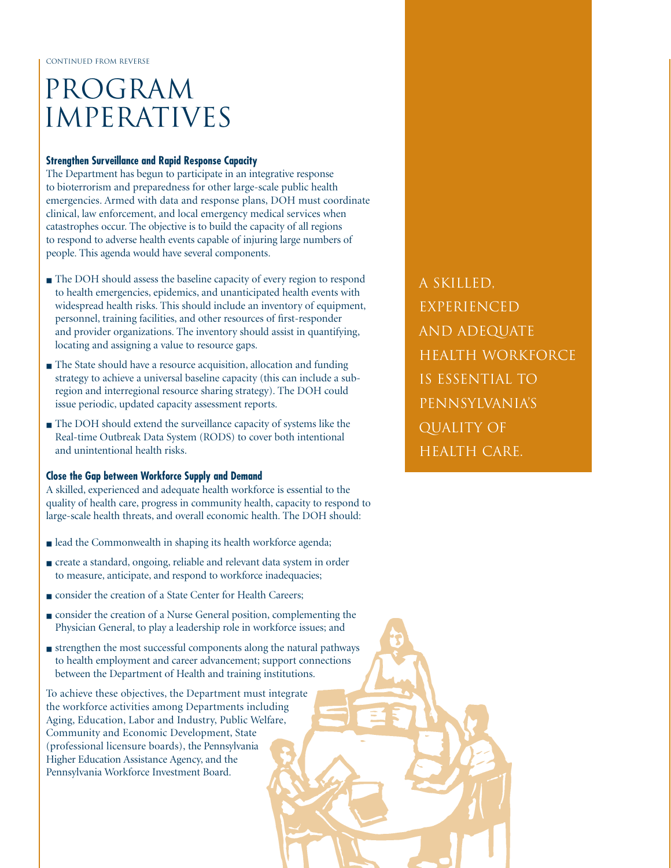# PROGRAM IMPERATIVES

#### **Strengthen Surveillance and Rapid Response Capacity**

The Department has begun to participate in an integrative response to bioterrorism and preparedness for other large-scale public health emergencies. Armed with data and response plans, DOH must coordinate clinical, law enforcement, and local emergency medical services when catastrophes occur. The objective is to build the capacity of all regions to respond to adverse health events capable of injuring large numbers of people. This agenda would have several components.

- The DOH should assess the baseline capacity of every region to respond to health emergencies, epidemics, and unanticipated health events with widespread health risks. This should include an inventory of equipment, personnel, training facilities, and other resources of first-responder and provider organizations. The inventory should assist in quantifying, locating and assigning a value to resource gaps.
- The State should have a resource acquisition, allocation and funding strategy to achieve a universal baseline capacity (this can include a subregion and interregional resource sharing strategy). The DOH could issue periodic, updated capacity assessment reports.
- The DOH should extend the surveillance capacity of systems like the Real-time Outbreak Data System (RODS) to cover both intentional and unintentional health risks.

#### **Close the Gap between Workforce Supply and Demand**

A skilled, experienced and adequate health workforce is essential to the quality of health care, progress in community health, capacity to respond to large-scale health threats, and overall economic health. The DOH should:

- lead the Commonwealth in shaping its health workforce agenda;
- create a standard, ongoing, reliable and relevant data system in order to measure, anticipate, and respond to workforce inadequacies;
- consider the creation of a State Center for Health Careers;
- consider the creation of a Nurse General position, complementing the Physician General, to play a leadership role in workforce issues; and
- strengthen the most successful components along the natural pathways to health employment and career advancement; support connections between the Department of Health and training institutions.

To achieve these objectives, the Department must integrate the workforce activities among Departments including Aging, Education, Labor and Industry, Public Welfare, Community and Economic Development, State (professional licensure boards), the Pennsylvania Higher Education Assistance Agency, and the Pennsylvania Workforce Investment Board.

A SKILLED, EXPERIENCED AND ADEQUATE HEALTH WORKFORCE IS ESSENTIAL TO PENNSYLVANIA'S QUALITY OF HEALTH CARE.